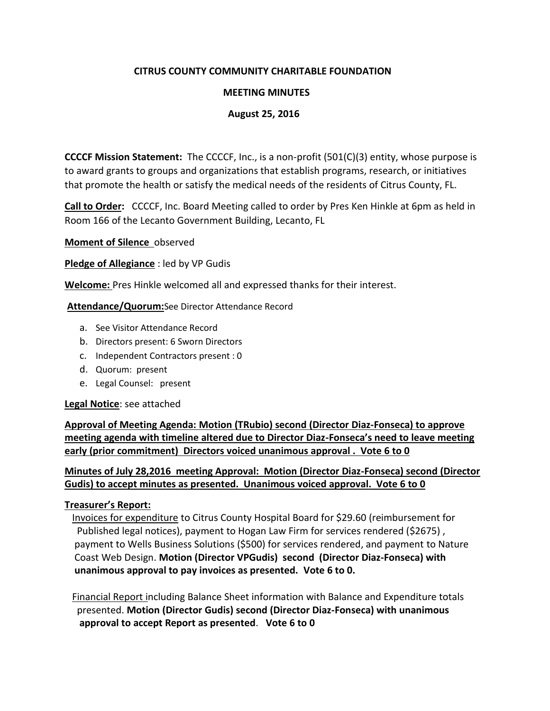# **CITRUS COUNTY COMMUNITY CHARITABLE FOUNDATION**

### **MEETING MINUTES**

### **August 25, 2016**

**CCCCF Mission Statement:** The CCCCF, Inc., is a non-profit (501(C)(3) entity, whose purpose is to award grants to groups and organizations that establish programs, research, or initiatives that promote the health or satisfy the medical needs of the residents of Citrus County, FL.

**Call to Order:** CCCCF, Inc. Board Meeting called to order by Pres Ken Hinkle at 6pm as held in Room 166 of the Lecanto Government Building, Lecanto, FL

**Moment of Silence** observed

**Pledge of Allegiance** : led by VP Gudis

**Welcome:** Pres Hinkle welcomed all and expressed thanks for their interest.

**Attendance/Quorum:**See Director Attendance Record

- a. See Visitor Attendance Record
- b. Directors present: 6 Sworn Directors
- c. Independent Contractors present : 0
- d. Quorum: present
- e. Legal Counsel: present

**Legal Notice**: see attached

**Approval of Meeting Agenda: Motion (TRubio) second (Director Diaz-Fonseca) to approve meeting agenda with timeline altered due to Director Diaz-Fonseca's need to leave meeting early (prior commitment) Directors voiced unanimous approval . Vote 6 to 0**

**Minutes of July 28,2016 meeting Approval: Motion (Director Diaz-Fonseca) second (Director Gudis) to accept minutes as presented. Unanimous voiced approval. Vote 6 to 0** 

### **Treasurer's Report:**

 Invoices for expenditure to Citrus County Hospital Board for \$29.60 (reimbursement for Published legal notices), payment to Hogan Law Firm for services rendered (\$2675) , payment to Wells Business Solutions (\$500) for services rendered, and payment to Nature Coast Web Design. **Motion (Director VPGudis) second (Director Diaz-Fonseca) with unanimous approval to pay invoices as presented. Vote 6 to 0.**

 Financial Report including Balance Sheet information with Balance and Expenditure totals presented. **Motion (Director Gudis) second (Director Diaz-Fonseca) with unanimous approval to accept Report as presented**. **Vote 6 to 0**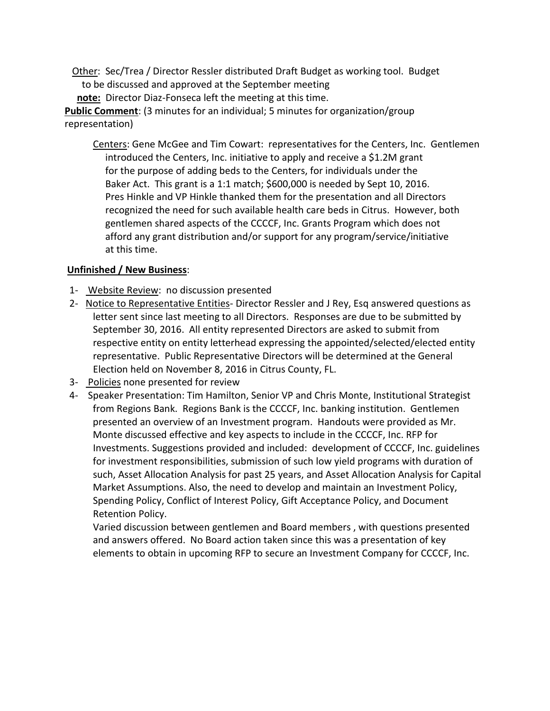Other: Sec/Trea / Director Ressler distributed Draft Budget as working tool. Budget to be discussed and approved at the September meeting **note:** Director Diaz-Fonseca left the meeting at this time.

**Public Comment**: (3 minutes for an individual; 5 minutes for organization/group representation)

Centers: Gene McGee and Tim Cowart: representatives for the Centers, Inc. Gentlemen introduced the Centers, Inc. initiative to apply and receive a \$1.2M grant for the purpose of adding beds to the Centers, for individuals under the Baker Act. This grant is a 1:1 match; \$600,000 is needed by Sept 10, 2016. Pres Hinkle and VP Hinkle thanked them for the presentation and all Directors recognized the need for such available health care beds in Citrus. However, both gentlemen shared aspects of the CCCCF, Inc. Grants Program which does not afford any grant distribution and/or support for any program/service/initiative at this time.

# **Unfinished / New Business**:

- 1- Website Review: no discussion presented
- 2- Notice to Representative Entities- Director Ressler and J Rey, Esq answered questions as letter sent since last meeting to all Directors. Responses are due to be submitted by September 30, 2016. All entity represented Directors are asked to submit from respective entity on entity letterhead expressing the appointed/selected/elected entity representative. Public Representative Directors will be determined at the General Election held on November 8, 2016 in Citrus County, FL.
- 3- Policies none presented for review
- 4- Speaker Presentation: Tim Hamilton, Senior VP and Chris Monte, Institutional Strategist from Regions Bank. Regions Bank is the CCCCF, Inc. banking institution. Gentlemen presented an overview of an Investment program. Handouts were provided as Mr. Monte discussed effective and key aspects to include in the CCCCF, Inc. RFP for Investments. Suggestions provided and included: development of CCCCF, Inc. guidelines for investment responsibilities, submission of such low yield programs with duration of such, Asset Allocation Analysis for past 25 years, and Asset Allocation Analysis for Capital Market Assumptions. Also, the need to develop and maintain an Investment Policy, Spending Policy, Conflict of Interest Policy, Gift Acceptance Policy, and Document Retention Policy.

 Varied discussion between gentlemen and Board members , with questions presented and answers offered. No Board action taken since this was a presentation of key elements to obtain in upcoming RFP to secure an Investment Company for CCCCF, Inc.